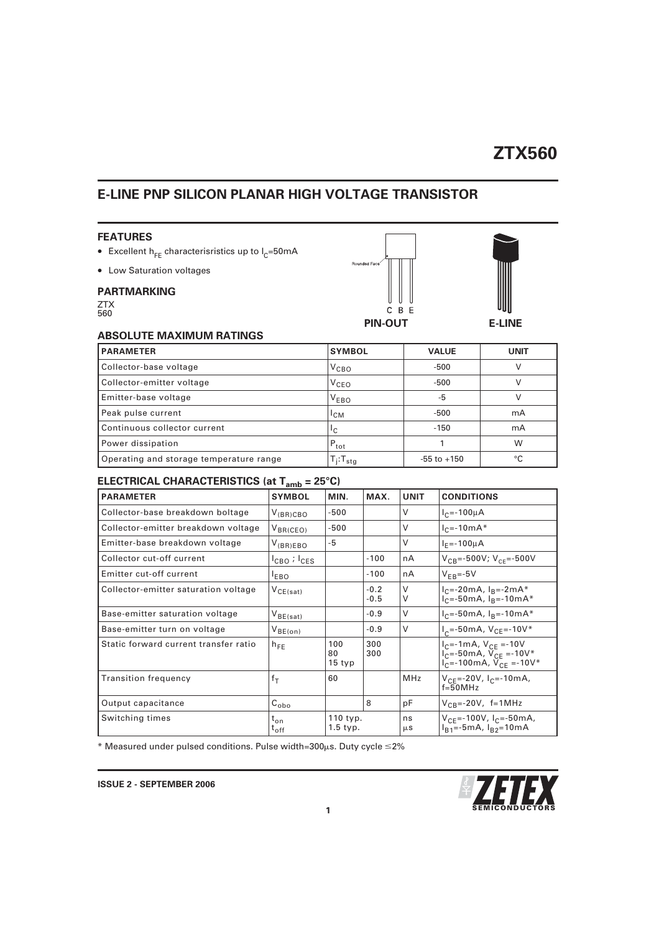## **ZTX560**

### **E-LINE PNP SILICON PLANAR HIGH VOLTAGE TRANSISTOR**

#### **FEATURES**

- Excellent  $h_{FE}$  characterisristics up to  $I_{C}$ =50mA
- Low Saturation voltages

### **PARTMARKING**

| <b>ZTX</b> |  |
|------------|--|
| 560        |  |



### **ABSOLUTE MAXIMUM RATINGS**

| <b>PARAMETER</b>                        | <b>SYMBOL</b>             | <b>VALUE</b>    | <b>UNIT</b> |
|-----------------------------------------|---------------------------|-----------------|-------------|
| Collector-base voltage                  | $V_{\texttt{CBO}}$        | $-500$          |             |
| Collector-emitter voltage               | $V_{\texttt{CEO}}$        | $-500$          |             |
| Emitter-base voltage                    | $V_{EBO}$                 | -5              |             |
| Peak pulse current                      | $L_{CM}$                  | $-500$          | mA          |
| Continuous collector current            | Ιc                        | $-150$          | mA          |
| Power dissipation                       | $P_{\text{tot}}$          |                 | W           |
| Operating and storage temperature range | $T_i$ : $T_{\text{stag}}$ | $-55$ to $+150$ | °C          |

## **ELECTRICAL CHARACTERISTICS (at Tamb = 25°C)**

| <b>PARAMETER</b>                      | <b>SYMBOL</b>                       | MIN.                   | MAX.             | <b>UNIT</b>   | <b>CONDITIONS</b>                                                                                                         |
|---------------------------------------|-------------------------------------|------------------------|------------------|---------------|---------------------------------------------------------------------------------------------------------------------------|
| Collector-base breakdown boltage      | $V_{(BR)CBO}$                       | $-500$                 |                  | V             | $I_{C} = -100 \mu A$                                                                                                      |
| Collector-emitter breakdown voltage   | $V_{BR(CEO)}$                       | $-500$                 |                  | $\vee$        | $I_{C} = -10mA*$                                                                                                          |
| Emitter-base breakdown voltage        | $V_{(BR)EBO}$                       | $-5$                   |                  | $\vee$        | $I_F = -100 \mu A$                                                                                                        |
| Collector cut-off current             | $I_{\text{CBO}}$ ; $I_{\text{CES}}$ |                        | $-100$           | nA            | $V_{CB} = -500V; V_{CE} = -500V$                                                                                          |
| Emitter cut-off current               | <sup>I</sup> EBO                    |                        | $-100$           | nA            | $V_{FR} = -5V$                                                                                                            |
| Collector-emitter saturation voltage  | $V_{CE(sat)}$                       |                        | $-0.2$<br>$-0.5$ | $\vee$<br>V   | $I_C = -20mA, I_B = -2mA*$<br>$I_{C} = 50mA, I_{R} = 10mA*$                                                               |
| Base-emitter saturation voltage       | $V_{BE(sat)}$                       |                        | $-0.9$           | V             | $I_C = -50mA$ , $I_B = -10mA*$                                                                                            |
| Base-emitter turn on voltage          | $V_{BE(on)}$                        |                        | $-0.9$           | $\vee$        | $I_c$ =-50mA, $V_{CE}$ =-10V*                                                                                             |
| Static forward current transfer ratio | $h_{FE}$                            | 100<br>80<br>15 typ    | 300<br>300       |               | $I_C = -1mA, V_{CE} = -10V$<br>$I_{C} = 50 \text{ mA}$ , $V_{CE} = -10V^*$<br>$I_C = -100 \text{ mA}$ , $V_{CE} = -10V^*$ |
| <b>Transition frequency</b>           | $f_T$                               | 60                     |                  | <b>MHz</b>    | $V_{CF}$ =-20V, $I_{C}$ =-10mA,<br>$f=50MHz$                                                                              |
| Output capacitance                    | $C_{\text{obo}}$                    |                        | 8                | pF            | $V_{CB}$ =-20V, f=1MHz                                                                                                    |
| Switching times                       | $t_{on}$<br>$\tau_{\mathsf{off}}$   | 110 typ.<br>$1.5$ typ. |                  | ns<br>$\mu$ S | $V_{CE}$ =-100V, I <sub>C</sub> =-50mA,<br>$I_{B1}$ =-5mA, $I_{B2}$ =10mA                                                 |

\* Measured under pulsed conditions. Pulse width=300 $\mu$ s. Duty cycle  $\leq$ 2%

 $\frac{1}{2}$ 51 **1 SEMICONDUCTORS**

**ISSUE 2 - SEPTEMBER 2006**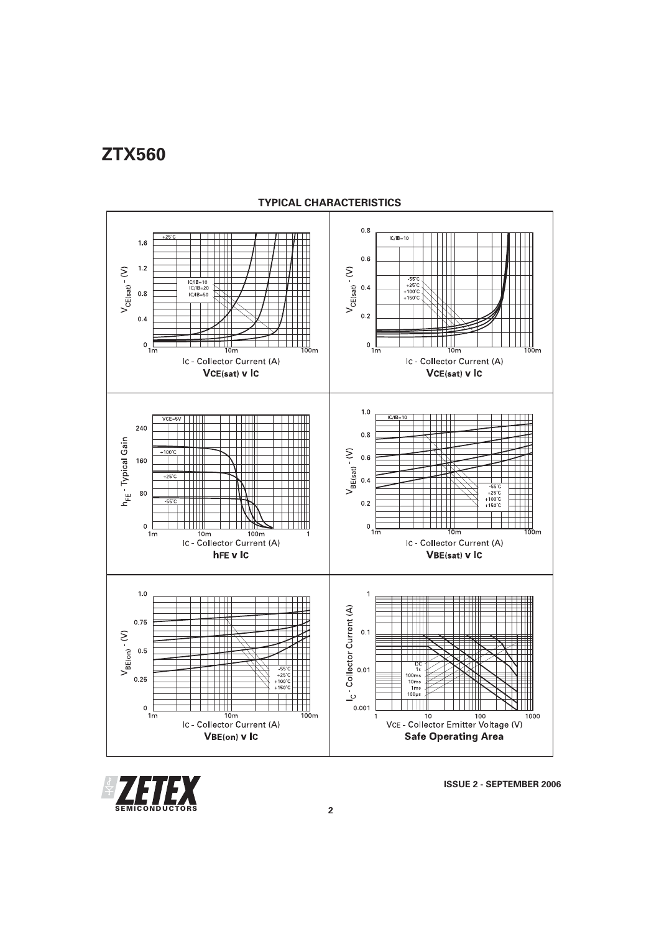# **ZTX560**



### **TYPICAL CHARACTERISTICS**



**ISSUE 2 - SEPTEMBER 2006**